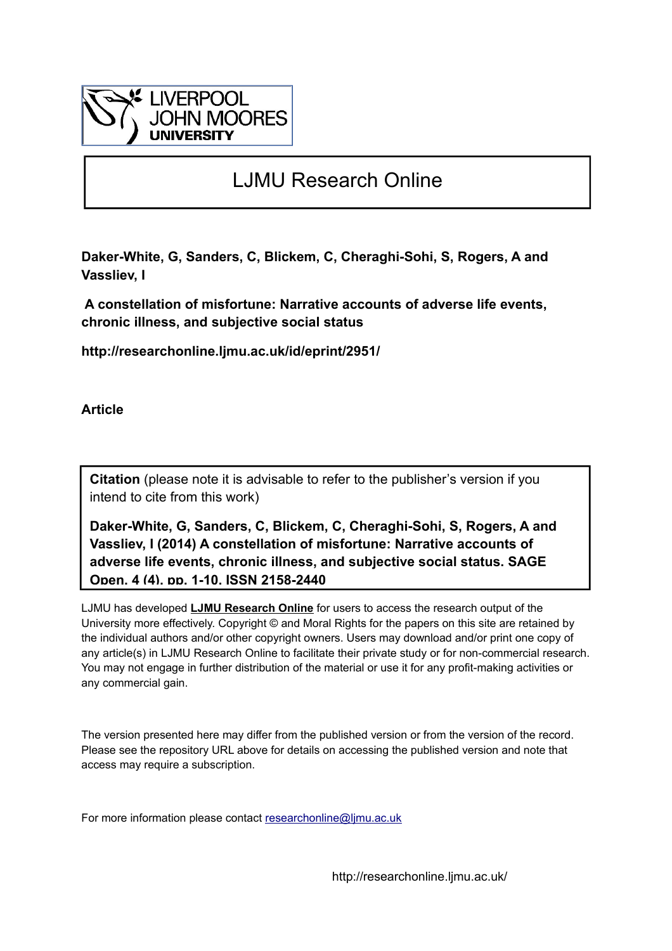

# LJMU Research Online

**Daker-White, G, Sanders, C, Blickem, C, Cheraghi-Sohi, S, Rogers, A and Vassliev, I**

 **A constellation of misfortune: Narrative accounts of adverse life events, chronic illness, and subjective social status**

**http://researchonline.ljmu.ac.uk/id/eprint/2951/**

**Article**

**Citation** (please note it is advisable to refer to the publisher's version if you intend to cite from this work)

**Daker-White, G, Sanders, C, Blickem, C, Cheraghi-Sohi, S, Rogers, A and Vassliev, I (2014) A constellation of misfortune: Narrative accounts of adverse life events, chronic illness, and subjective social status. SAGE Open, 4 (4). pp. 1-10. ISSN 2158-2440** 

LJMU has developed **[LJMU Research Online](http://researchonline.ljmu.ac.uk/)** for users to access the research output of the University more effectively. Copyright © and Moral Rights for the papers on this site are retained by the individual authors and/or other copyright owners. Users may download and/or print one copy of any article(s) in LJMU Research Online to facilitate their private study or for non-commercial research. You may not engage in further distribution of the material or use it for any profit-making activities or any commercial gain.

The version presented here may differ from the published version or from the version of the record. Please see the repository URL above for details on accessing the published version and note that access may require a subscription.

For more information please contact researchonline@limu.ac.uk

http://researchonline.ljmu.ac.uk/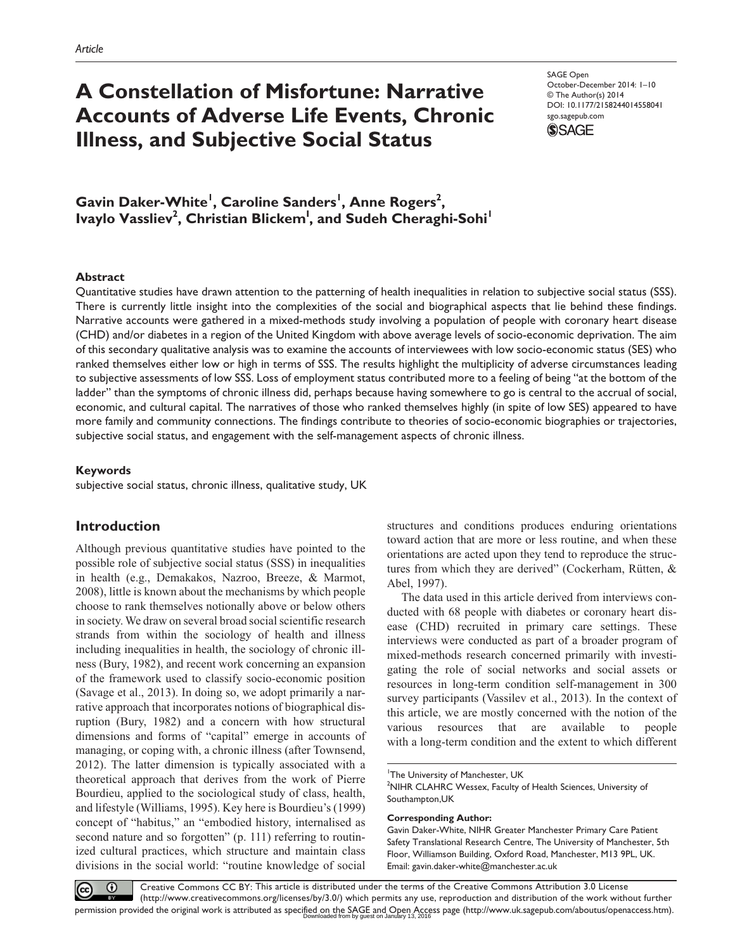# **A Constellation of Misfortune: Narrative Accounts of Adverse Life Events, Chronic Illness, and Subjective Social Status**

SAGE Open October-December 2014: 1–10 © The Author(s) 2014 DOI: 10.1177/2158244014558041 sgo.sagepub.com



 $\boldsymbol{\mathsf{G}}$ avin Daker-White<sup>1</sup>, Caroline Sanders<sup>1</sup>, Anne Rogers<sup>2</sup>, Ivaylo Vassliev<sup>2</sup>, Christian Blickem<sup>1</sup>, and Sudeh Cheraghi-Sohi<sup>1</sup>

## **Abstract**

Quantitative studies have drawn attention to the patterning of health inequalities in relation to subjective social status (SSS). There is currently little insight into the complexities of the social and biographical aspects that lie behind these findings. Narrative accounts were gathered in a mixed-methods study involving a population of people with coronary heart disease (CHD) and/or diabetes in a region of the United Kingdom with above average levels of socio-economic deprivation. The aim of this secondary qualitative analysis was to examine the accounts of interviewees with low socio-economic status (SES) who ranked themselves either low or high in terms of SSS. The results highlight the multiplicity of adverse circumstances leading to subjective assessments of low SSS. Loss of employment status contributed more to a feeling of being "at the bottom of the ladder" than the symptoms of chronic illness did, perhaps because having somewhere to go is central to the accrual of social, economic, and cultural capital. The narratives of those who ranked themselves highly (in spite of low SES) appeared to have more family and community connections. The findings contribute to theories of socio-economic biographies or trajectories, subjective social status, and engagement with the self-management aspects of chronic illness.

## **Keywords**

subjective social status, chronic illness, qualitative study, UK

# **Introduction**

Although previous quantitative studies have pointed to the possible role of subjective social status (SSS) in inequalities in health (e.g., Demakakos, Nazroo, Breeze, & Marmot, 2008), little is known about the mechanisms by which people choose to rank themselves notionally above or below others in society. We draw on several broad social scientific research strands from within the sociology of health and illness including inequalities in health, the sociology of chronic illness (Bury, 1982), and recent work concerning an expansion of the framework used to classify socio-economic position (Savage et al., 2013). In doing so, we adopt primarily a narrative approach that incorporates notions of biographical disruption (Bury, 1982) and a concern with how structural dimensions and forms of "capital" emerge in accounts of managing, or coping with, a chronic illness (after Townsend, 2012). The latter dimension is typically associated with a theoretical approach that derives from the work of Pierre Bourdieu, applied to the sociological study of class, health, and lifestyle (Williams, 1995). Key here is Bourdieu's (1999) concept of "habitus," an "embodied history, internalised as second nature and so forgotten" (p. 111) referring to routinized cultural practices, which structure and maintain class divisions in the social world: "routine knowledge of social

structures and conditions produces enduring orientations toward action that are more or less routine, and when these orientations are acted upon they tend to reproduce the structures from which they are derived" (Cockerham, Rütten, & Abel, 1997).

The data used in this article derived from interviews conducted with 68 people with diabetes or coronary heart disease (CHD) recruited in primary care settings. These interviews were conducted as part of a broader program of mixed-methods research concerned primarily with investigating the role of social networks and social assets or resources in long-term condition self-management in 300 survey participants (Vassilev et al., 2013). In the context of this article, we are mostly concerned with the notion of the various resources that are available to people with a long-term condition and the extent to which different

### **Corresponding Author:**

Creative Commons CC BY: This article is distributed under the terms of the Creative Commons Attribution 3.0 License  $\odot$  $_{\rm (cc)}$ (http://www.creativecommons.org/licenses/by/3.0/) which permits any use, reproduction and distribution of the work without further permission provided the original work is attributed as specified on the SAGE and Open Access page (http://www.uk.sagepub.com/aboutus/openaccess.htm).<br>Downloaded from by guest on January 13, 2016

<sup>&</sup>lt;sup>1</sup>The University of Manchester, UK <sup>2</sup>NIHR CLAHRC Wessex, Faculty of Health Sciences, University of Southampton,UK

Gavin Daker-White, NIHR Greater Manchester Primary Care Patient Safety Translational Research Centre, The University of Manchester, 5th Floor, Williamson Building, Oxford Road, Manchester, M13 9PL, UK. Email: [gavin.daker-white@manchester.ac.uk](mailto:gavin.daker-white@manchester.ac.uk)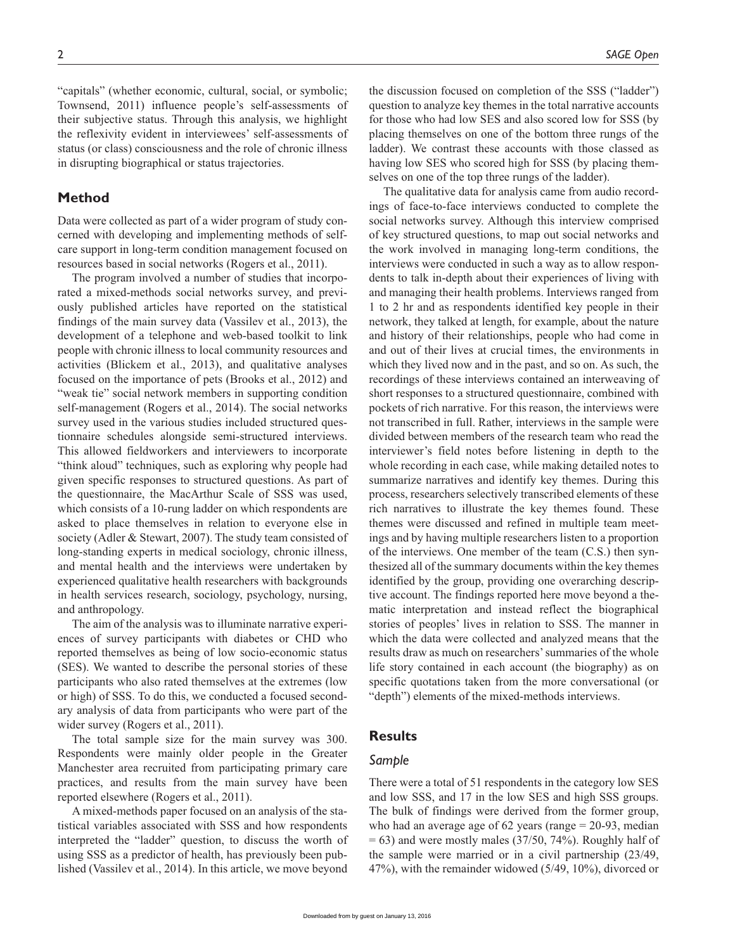"capitals" (whether economic, cultural, social, or symbolic; Townsend, 2011) influence people's self-assessments of their subjective status. Through this analysis, we highlight the reflexivity evident in interviewees' self-assessments of status (or class) consciousness and the role of chronic illness in disrupting biographical or status trajectories.

## **Method**

Data were collected as part of a wider program of study concerned with developing and implementing methods of selfcare support in long-term condition management focused on resources based in social networks (Rogers et al., 2011).

The program involved a number of studies that incorporated a mixed-methods social networks survey, and previously published articles have reported on the statistical findings of the main survey data (Vassilev et al., 2013), the development of a telephone and web-based toolkit to link people with chronic illness to local community resources and activities (Blickem et al., 2013), and qualitative analyses focused on the importance of pets (Brooks et al., 2012) and "weak tie" social network members in supporting condition self-management (Rogers et al., 2014). The social networks survey used in the various studies included structured questionnaire schedules alongside semi-structured interviews. This allowed fieldworkers and interviewers to incorporate "think aloud" techniques, such as exploring why people had given specific responses to structured questions. As part of the questionnaire, the MacArthur Scale of SSS was used, which consists of a 10-rung ladder on which respondents are asked to place themselves in relation to everyone else in society (Adler & Stewart, 2007). The study team consisted of long-standing experts in medical sociology, chronic illness, and mental health and the interviews were undertaken by experienced qualitative health researchers with backgrounds in health services research, sociology, psychology, nursing, and anthropology.

The aim of the analysis was to illuminate narrative experiences of survey participants with diabetes or CHD who reported themselves as being of low socio-economic status (SES). We wanted to describe the personal stories of these participants who also rated themselves at the extremes (low or high) of SSS. To do this, we conducted a focused secondary analysis of data from participants who were part of the wider survey (Rogers et al., 2011).

The total sample size for the main survey was 300. Respondents were mainly older people in the Greater Manchester area recruited from participating primary care practices, and results from the main survey have been reported elsewhere (Rogers et al., 2011).

A mixed-methods paper focused on an analysis of the statistical variables associated with SSS and how respondents interpreted the "ladder" question, to discuss the worth of using SSS as a predictor of health, has previously been published (Vassilev et al., 2014). In this article, we move beyond

the discussion focused on completion of the SSS ("ladder") question to analyze key themes in the total narrative accounts for those who had low SES and also scored low for SSS (by placing themselves on one of the bottom three rungs of the ladder). We contrast these accounts with those classed as having low SES who scored high for SSS (by placing themselves on one of the top three rungs of the ladder).

The qualitative data for analysis came from audio recordings of face-to-face interviews conducted to complete the social networks survey. Although this interview comprised of key structured questions, to map out social networks and the work involved in managing long-term conditions, the interviews were conducted in such a way as to allow respondents to talk in-depth about their experiences of living with and managing their health problems. Interviews ranged from 1 to 2 hr and as respondents identified key people in their network, they talked at length, for example, about the nature and history of their relationships, people who had come in and out of their lives at crucial times, the environments in which they lived now and in the past, and so on. As such, the recordings of these interviews contained an interweaving of short responses to a structured questionnaire, combined with pockets of rich narrative. For this reason, the interviews were not transcribed in full. Rather, interviews in the sample were divided between members of the research team who read the interviewer's field notes before listening in depth to the whole recording in each case, while making detailed notes to summarize narratives and identify key themes. During this process, researchers selectively transcribed elements of these rich narratives to illustrate the key themes found. These themes were discussed and refined in multiple team meetings and by having multiple researchers listen to a proportion of the interviews. One member of the team (C.S.) then synthesized all of the summary documents within the key themes identified by the group, providing one overarching descriptive account. The findings reported here move beyond a thematic interpretation and instead reflect the biographical stories of peoples' lives in relation to SSS. The manner in which the data were collected and analyzed means that the results draw as much on researchers' summaries of the whole life story contained in each account (the biography) as on specific quotations taken from the more conversational (or "depth") elements of the mixed-methods interviews.

# **Results**

## *Sample*

There were a total of 51 respondents in the category low SES and low SSS, and 17 in the low SES and high SSS groups. The bulk of findings were derived from the former group, who had an average age of 62 years (range = 20-93, median  $= 63$ ) and were mostly males (37/50, 74%). Roughly half of the sample were married or in a civil partnership (23/49, 47%), with the remainder widowed (5/49, 10%), divorced or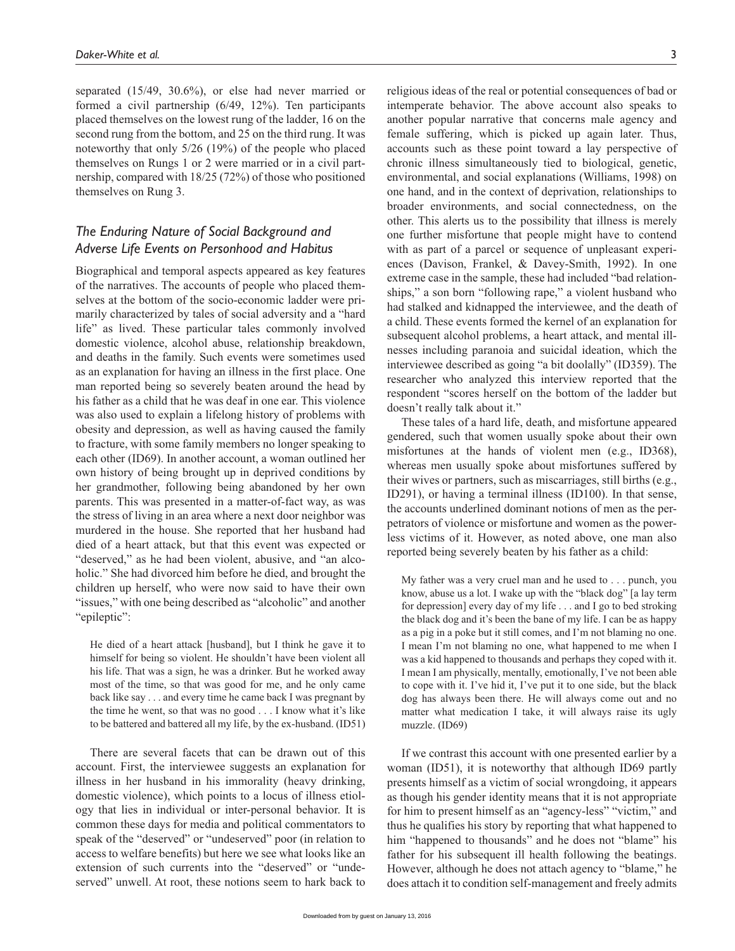separated (15/49, 30.6%), or else had never married or formed a civil partnership (6/49, 12%). Ten participants placed themselves on the lowest rung of the ladder, 16 on the second rung from the bottom, and 25 on the third rung. It was noteworthy that only 5/26 (19%) of the people who placed themselves on Rungs 1 or 2 were married or in a civil partnership, compared with 18/25 (72%) of those who positioned themselves on Rung 3.

# *The Enduring Nature of Social Background and Adverse Life Events on Personhood and Habitus*

Biographical and temporal aspects appeared as key features of the narratives. The accounts of people who placed themselves at the bottom of the socio-economic ladder were primarily characterized by tales of social adversity and a "hard life" as lived. These particular tales commonly involved domestic violence, alcohol abuse, relationship breakdown, and deaths in the family. Such events were sometimes used as an explanation for having an illness in the first place. One man reported being so severely beaten around the head by his father as a child that he was deaf in one ear. This violence was also used to explain a lifelong history of problems with obesity and depression, as well as having caused the family to fracture, with some family members no longer speaking to each other (ID69). In another account, a woman outlined her own history of being brought up in deprived conditions by her grandmother, following being abandoned by her own parents. This was presented in a matter-of-fact way, as was the stress of living in an area where a next door neighbor was murdered in the house. She reported that her husband had died of a heart attack, but that this event was expected or "deserved," as he had been violent, abusive, and "an alcoholic." She had divorced him before he died, and brought the children up herself, who were now said to have their own "issues," with one being described as "alcoholic" and another "epileptic":

He died of a heart attack [husband], but I think he gave it to himself for being so violent. He shouldn't have been violent all his life. That was a sign, he was a drinker. But he worked away most of the time, so that was good for me, and he only came back like say . . . and every time he came back I was pregnant by the time he went, so that was no good . . . I know what it's like to be battered and battered all my life, by the ex-husband. (ID51)

There are several facets that can be drawn out of this account. First, the interviewee suggests an explanation for illness in her husband in his immorality (heavy drinking, domestic violence), which points to a locus of illness etiology that lies in individual or inter-personal behavior. It is common these days for media and political commentators to speak of the "deserved" or "undeserved" poor (in relation to access to welfare benefits) but here we see what looks like an extension of such currents into the "deserved" or "undeserved" unwell. At root, these notions seem to hark back to

religious ideas of the real or potential consequences of bad or intemperate behavior. The above account also speaks to another popular narrative that concerns male agency and female suffering, which is picked up again later. Thus, accounts such as these point toward a lay perspective of chronic illness simultaneously tied to biological, genetic, environmental, and social explanations (Williams, 1998) on one hand, and in the context of deprivation, relationships to broader environments, and social connectedness, on the other. This alerts us to the possibility that illness is merely one further misfortune that people might have to contend with as part of a parcel or sequence of unpleasant experiences (Davison, Frankel, & Davey-Smith, 1992). In one extreme case in the sample, these had included "bad relationships," a son born "following rape," a violent husband who had stalked and kidnapped the interviewee, and the death of a child. These events formed the kernel of an explanation for subsequent alcohol problems, a heart attack, and mental illnesses including paranoia and suicidal ideation, which the interviewee described as going "a bit doolally" (ID359). The researcher who analyzed this interview reported that the respondent "scores herself on the bottom of the ladder but doesn't really talk about it."

These tales of a hard life, death, and misfortune appeared gendered, such that women usually spoke about their own misfortunes at the hands of violent men (e.g., ID368), whereas men usually spoke about misfortunes suffered by their wives or partners, such as miscarriages, still births (e.g., ID291), or having a terminal illness (ID100). In that sense, the accounts underlined dominant notions of men as the perpetrators of violence or misfortune and women as the powerless victims of it. However, as noted above, one man also reported being severely beaten by his father as a child:

My father was a very cruel man and he used to . . . punch, you know, abuse us a lot. I wake up with the "black dog" [a lay term for depression] every day of my life . . . and I go to bed stroking the black dog and it's been the bane of my life. I can be as happy as a pig in a poke but it still comes, and I'm not blaming no one. I mean I'm not blaming no one, what happened to me when I was a kid happened to thousands and perhaps they coped with it. I mean I am physically, mentally, emotionally, I've not been able to cope with it. I've hid it, I've put it to one side, but the black dog has always been there. He will always come out and no matter what medication I take, it will always raise its ugly muzzle. (ID69)

If we contrast this account with one presented earlier by a woman (ID51), it is noteworthy that although ID69 partly presents himself as a victim of social wrongdoing, it appears as though his gender identity means that it is not appropriate for him to present himself as an "agency-less" "victim," and thus he qualifies his story by reporting that what happened to him "happened to thousands" and he does not "blame" his father for his subsequent ill health following the beatings. However, although he does not attach agency to "blame," he does attach it to condition self-management and freely admits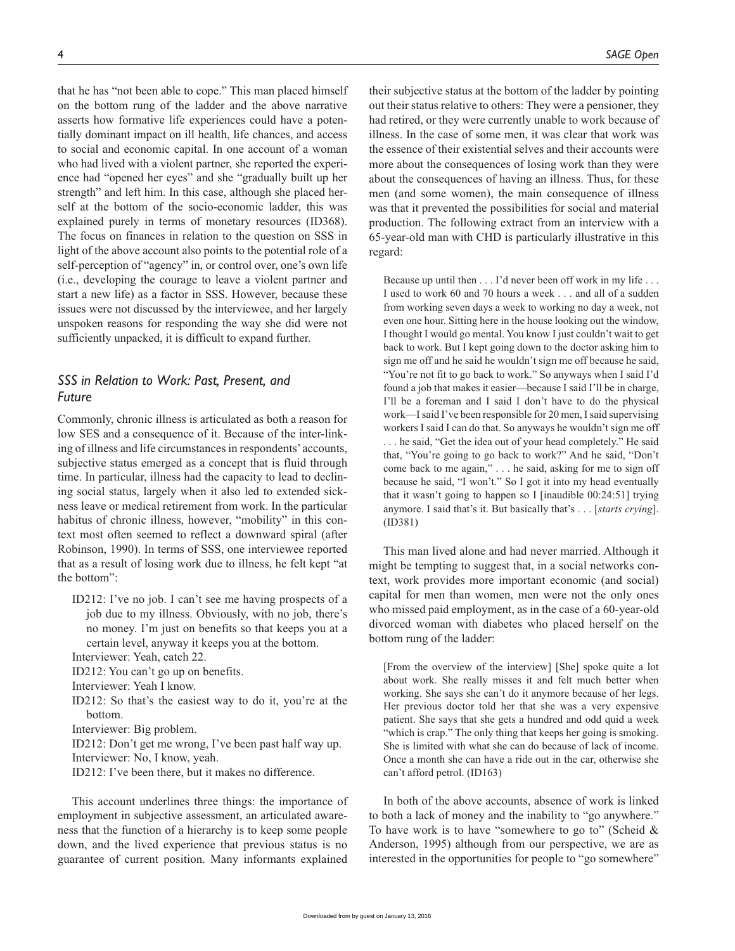that he has "not been able to cope." This man placed himself on the bottom rung of the ladder and the above narrative asserts how formative life experiences could have a potentially dominant impact on ill health, life chances, and access to social and economic capital. In one account of a woman who had lived with a violent partner, she reported the experience had "opened her eyes" and she "gradually built up her strength" and left him. In this case, although she placed herself at the bottom of the socio-economic ladder, this was explained purely in terms of monetary resources (ID368). The focus on finances in relation to the question on SSS in light of the above account also points to the potential role of a self-perception of "agency" in, or control over, one's own life (i.e., developing the courage to leave a violent partner and start a new life) as a factor in SSS. However, because these issues were not discussed by the interviewee, and her largely unspoken reasons for responding the way she did were not sufficiently unpacked, it is difficult to expand further.

# *SSS in Relation to Work: Past, Present, and Future*

Commonly, chronic illness is articulated as both a reason for low SES and a consequence of it. Because of the inter-linking of illness and life circumstances in respondents' accounts, subjective status emerged as a concept that is fluid through time. In particular, illness had the capacity to lead to declining social status, largely when it also led to extended sickness leave or medical retirement from work. In the particular habitus of chronic illness, however, "mobility" in this context most often seemed to reflect a downward spiral (after Robinson, 1990). In terms of SSS, one interviewee reported that as a result of losing work due to illness, he felt kept "at the bottom":

ID212: I've no job. I can't see me having prospects of a job due to my illness. Obviously, with no job, there's no money. I'm just on benefits so that keeps you at a certain level, anyway it keeps you at the bottom.

Interviewer: Yeah, catch 22.

ID212: You can't go up on benefits.

Interviewer: Yeah I know.

- ID212: So that's the easiest way to do it, you're at the bottom.
- Interviewer: Big problem.

ID212: Don't get me wrong, I've been past half way up.

Interviewer: No, I know, yeah.

ID212: I've been there, but it makes no difference.

This account underlines three things: the importance of employment in subjective assessment, an articulated awareness that the function of a hierarchy is to keep some people down, and the lived experience that previous status is no guarantee of current position. Many informants explained

their subjective status at the bottom of the ladder by pointing out their status relative to others: They were a pensioner, they had retired, or they were currently unable to work because of illness. In the case of some men, it was clear that work was the essence of their existential selves and their accounts were more about the consequences of losing work than they were about the consequences of having an illness. Thus, for these men (and some women), the main consequence of illness was that it prevented the possibilities for social and material production. The following extract from an interview with a 65-year-old man with CHD is particularly illustrative in this regard:

Because up until then . . . I'd never been off work in my life . . . I used to work 60 and 70 hours a week . . . and all of a sudden from working seven days a week to working no day a week, not even one hour. Sitting here in the house looking out the window, I thought I would go mental. You know I just couldn't wait to get back to work. But I kept going down to the doctor asking him to sign me off and he said he wouldn't sign me off because he said, "You're not fit to go back to work." So anyways when I said I'd found a job that makes it easier—because I said I'll be in charge, I'll be a foreman and I said I don't have to do the physical work—I said I've been responsible for 20 men, I said supervising workers I said I can do that. So anyways he wouldn't sign me off . . . he said, "Get the idea out of your head completely." He said that, "You're going to go back to work?" And he said, "Don't come back to me again," . . . he said, asking for me to sign off because he said, "I won't." So I got it into my head eventually that it wasn't going to happen so I [inaudible 00:24:51] trying anymore. I said that's it. But basically that's . . . [*starts crying*]. (ID381)

This man lived alone and had never married. Although it might be tempting to suggest that, in a social networks context, work provides more important economic (and social) capital for men than women, men were not the only ones who missed paid employment, as in the case of a 60-year-old divorced woman with diabetes who placed herself on the bottom rung of the ladder:

[From the overview of the interview] [She] spoke quite a lot about work. She really misses it and felt much better when working. She says she can't do it anymore because of her legs. Her previous doctor told her that she was a very expensive patient. She says that she gets a hundred and odd quid a week "which is crap." The only thing that keeps her going is smoking. She is limited with what she can do because of lack of income. Once a month she can have a ride out in the car, otherwise she can't afford petrol. (ID163)

In both of the above accounts, absence of work is linked to both a lack of money and the inability to "go anywhere." To have work is to have "somewhere to go to" (Scheid  $\&$ Anderson, 1995) although from our perspective, we are as interested in the opportunities for people to "go somewhere"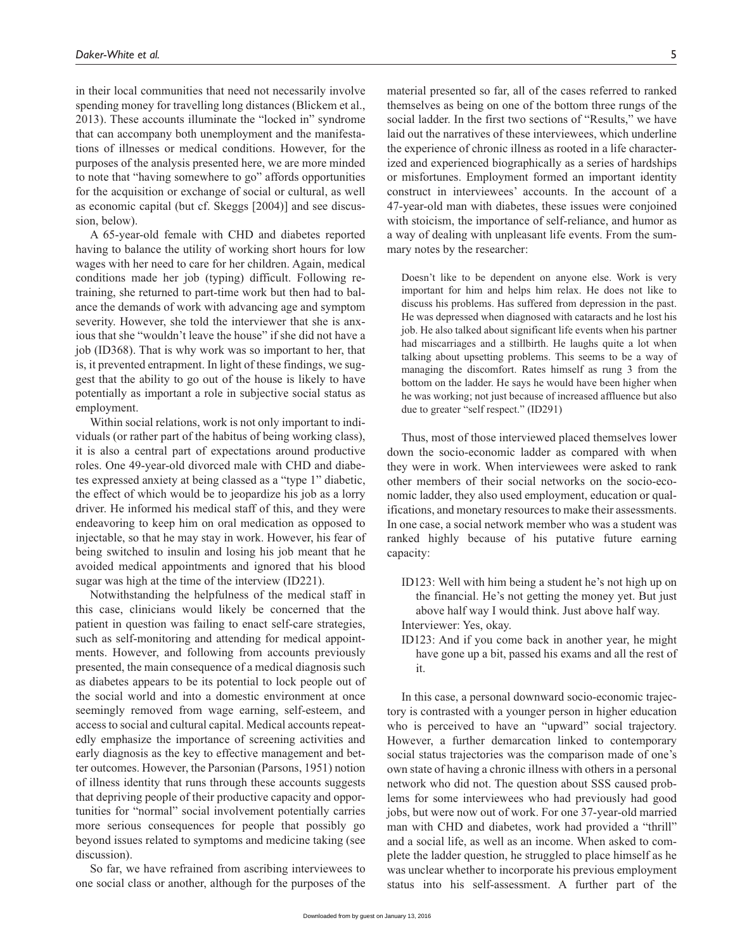in their local communities that need not necessarily involve spending money for travelling long distances (Blickem et al., 2013). These accounts illuminate the "locked in" syndrome that can accompany both unemployment and the manifestations of illnesses or medical conditions. However, for the purposes of the analysis presented here, we are more minded to note that "having somewhere to go" affords opportunities for the acquisition or exchange of social or cultural, as well as economic capital (but cf. Skeggs [2004)] and see discussion, below).

A 65-year-old female with CHD and diabetes reported having to balance the utility of working short hours for low wages with her need to care for her children. Again, medical conditions made her job (typing) difficult. Following retraining, she returned to part-time work but then had to balance the demands of work with advancing age and symptom severity. However, she told the interviewer that she is anxious that she "wouldn't leave the house" if she did not have a job (ID368). That is why work was so important to her, that is, it prevented entrapment. In light of these findings, we suggest that the ability to go out of the house is likely to have potentially as important a role in subjective social status as employment.

Within social relations, work is not only important to individuals (or rather part of the habitus of being working class), it is also a central part of expectations around productive roles. One 49-year-old divorced male with CHD and diabetes expressed anxiety at being classed as a "type 1" diabetic, the effect of which would be to jeopardize his job as a lorry driver. He informed his medical staff of this, and they were endeavoring to keep him on oral medication as opposed to injectable, so that he may stay in work. However, his fear of being switched to insulin and losing his job meant that he avoided medical appointments and ignored that his blood sugar was high at the time of the interview (ID221).

Notwithstanding the helpfulness of the medical staff in this case, clinicians would likely be concerned that the patient in question was failing to enact self-care strategies, such as self-monitoring and attending for medical appointments. However, and following from accounts previously presented, the main consequence of a medical diagnosis such as diabetes appears to be its potential to lock people out of the social world and into a domestic environment at once seemingly removed from wage earning, self-esteem, and access to social and cultural capital. Medical accounts repeatedly emphasize the importance of screening activities and early diagnosis as the key to effective management and better outcomes. However, the Parsonian (Parsons, 1951) notion of illness identity that runs through these accounts suggests that depriving people of their productive capacity and opportunities for "normal" social involvement potentially carries more serious consequences for people that possibly go beyond issues related to symptoms and medicine taking (see discussion).

So far, we have refrained from ascribing interviewees to one social class or another, although for the purposes of the

material presented so far, all of the cases referred to ranked themselves as being on one of the bottom three rungs of the social ladder. In the first two sections of "Results," we have laid out the narratives of these interviewees, which underline the experience of chronic illness as rooted in a life characterized and experienced biographically as a series of hardships or misfortunes. Employment formed an important identity construct in interviewees' accounts. In the account of a 47-year-old man with diabetes, these issues were conjoined with stoicism, the importance of self-reliance, and humor as a way of dealing with unpleasant life events. From the summary notes by the researcher:

Doesn't like to be dependent on anyone else. Work is very important for him and helps him relax. He does not like to discuss his problems. Has suffered from depression in the past. He was depressed when diagnosed with cataracts and he lost his job. He also talked about significant life events when his partner had miscarriages and a stillbirth. He laughs quite a lot when talking about upsetting problems. This seems to be a way of managing the discomfort. Rates himself as rung 3 from the bottom on the ladder. He says he would have been higher when he was working; not just because of increased affluence but also due to greater "self respect." (ID291)

Thus, most of those interviewed placed themselves lower down the socio-economic ladder as compared with when they were in work. When interviewees were asked to rank other members of their social networks on the socio-economic ladder, they also used employment, education or qualifications, and monetary resources to make their assessments. In one case, a social network member who was a student was ranked highly because of his putative future earning capacity:

- ID123: Well with him being a student he's not high up on the financial. He's not getting the money yet. But just above half way I would think. Just above half way. Interviewer: Yes, okay.
- ID123: And if you come back in another year, he might have gone up a bit, passed his exams and all the rest of it.

In this case, a personal downward socio-economic trajectory is contrasted with a younger person in higher education who is perceived to have an "upward" social trajectory. However, a further demarcation linked to contemporary social status trajectories was the comparison made of one's own state of having a chronic illness with others in a personal network who did not. The question about SSS caused problems for some interviewees who had previously had good jobs, but were now out of work. For one 37-year-old married man with CHD and diabetes, work had provided a "thrill" and a social life, as well as an income. When asked to complete the ladder question, he struggled to place himself as he was unclear whether to incorporate his previous employment status into his self-assessment. A further part of the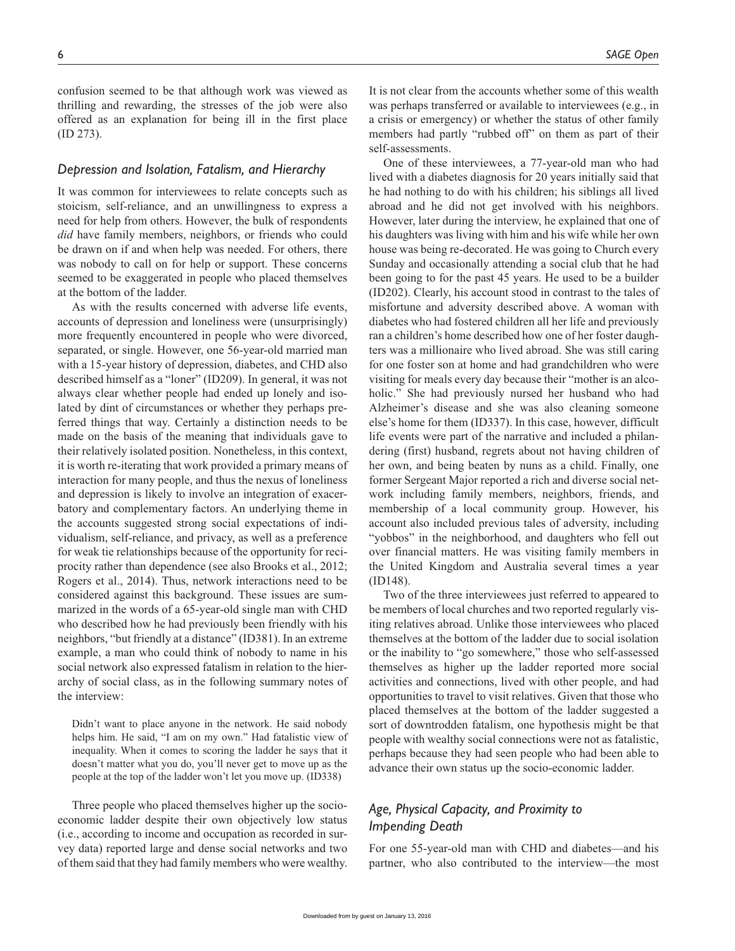confusion seemed to be that although work was viewed as thrilling and rewarding, the stresses of the job were also offered as an explanation for being ill in the first place (ID 273).

## *Depression and Isolation, Fatalism, and Hierarchy*

It was common for interviewees to relate concepts such as stoicism, self-reliance, and an unwillingness to express a need for help from others. However, the bulk of respondents *did* have family members, neighbors, or friends who could be drawn on if and when help was needed. For others, there was nobody to call on for help or support. These concerns seemed to be exaggerated in people who placed themselves at the bottom of the ladder.

As with the results concerned with adverse life events, accounts of depression and loneliness were (unsurprisingly) more frequently encountered in people who were divorced, separated, or single. However, one 56-year-old married man with a 15-year history of depression, diabetes, and CHD also described himself as a "loner" (ID209). In general, it was not always clear whether people had ended up lonely and isolated by dint of circumstances or whether they perhaps preferred things that way. Certainly a distinction needs to be made on the basis of the meaning that individuals gave to their relatively isolated position. Nonetheless, in this context, it is worth re-iterating that work provided a primary means of interaction for many people, and thus the nexus of loneliness and depression is likely to involve an integration of exacerbatory and complementary factors. An underlying theme in the accounts suggested strong social expectations of individualism, self-reliance, and privacy, as well as a preference for weak tie relationships because of the opportunity for reciprocity rather than dependence (see also Brooks et al., 2012; Rogers et al., 2014). Thus, network interactions need to be considered against this background. These issues are summarized in the words of a 65-year-old single man with CHD who described how he had previously been friendly with his neighbors, "but friendly at a distance" (ID381). In an extreme example, a man who could think of nobody to name in his social network also expressed fatalism in relation to the hierarchy of social class, as in the following summary notes of the interview:

Didn't want to place anyone in the network. He said nobody helps him. He said, "I am on my own." Had fatalistic view of inequality. When it comes to scoring the ladder he says that it doesn't matter what you do, you'll never get to move up as the people at the top of the ladder won't let you move up. (ID338)

Three people who placed themselves higher up the socioeconomic ladder despite their own objectively low status (i.e., according to income and occupation as recorded in survey data) reported large and dense social networks and two of them said that they had family members who were wealthy.

It is not clear from the accounts whether some of this wealth was perhaps transferred or available to interviewees (e.g., in a crisis or emergency) or whether the status of other family members had partly "rubbed off" on them as part of their self-assessments.

One of these interviewees, a 77-year-old man who had lived with a diabetes diagnosis for 20 years initially said that he had nothing to do with his children; his siblings all lived abroad and he did not get involved with his neighbors. However, later during the interview, he explained that one of his daughters was living with him and his wife while her own house was being re-decorated. He was going to Church every Sunday and occasionally attending a social club that he had been going to for the past 45 years. He used to be a builder (ID202). Clearly, his account stood in contrast to the tales of misfortune and adversity described above. A woman with diabetes who had fostered children all her life and previously ran a children's home described how one of her foster daughters was a millionaire who lived abroad. She was still caring for one foster son at home and had grandchildren who were visiting for meals every day because their "mother is an alcoholic." She had previously nursed her husband who had Alzheimer's disease and she was also cleaning someone else's home for them (ID337). In this case, however, difficult life events were part of the narrative and included a philandering (first) husband, regrets about not having children of her own, and being beaten by nuns as a child. Finally, one former Sergeant Major reported a rich and diverse social network including family members, neighbors, friends, and membership of a local community group. However, his account also included previous tales of adversity, including "yobbos" in the neighborhood, and daughters who fell out over financial matters. He was visiting family members in the United Kingdom and Australia several times a year (ID148).

Two of the three interviewees just referred to appeared to be members of local churches and two reported regularly visiting relatives abroad. Unlike those interviewees who placed themselves at the bottom of the ladder due to social isolation or the inability to "go somewhere," those who self-assessed themselves as higher up the ladder reported more social activities and connections, lived with other people, and had opportunities to travel to visit relatives. Given that those who placed themselves at the bottom of the ladder suggested a sort of downtrodden fatalism, one hypothesis might be that people with wealthy social connections were not as fatalistic, perhaps because they had seen people who had been able to advance their own status up the socio-economic ladder.

# *Age, Physical Capacity, and Proximity to Impending Death*

For one 55-year-old man with CHD and diabetes—and his partner, who also contributed to the interview—the most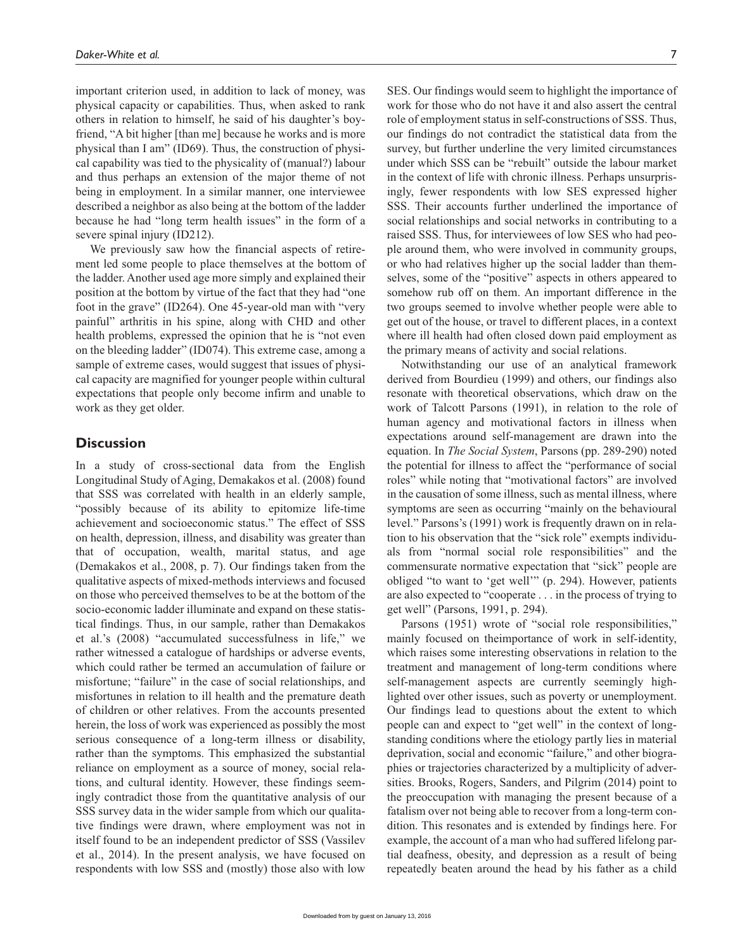important criterion used, in addition to lack of money, was physical capacity or capabilities. Thus, when asked to rank others in relation to himself, he said of his daughter's boyfriend, "A bit higher [than me] because he works and is more physical than I am" (ID69). Thus, the construction of physical capability was tied to the physicality of (manual?) labour and thus perhaps an extension of the major theme of not being in employment. In a similar manner, one interviewee described a neighbor as also being at the bottom of the ladder because he had "long term health issues" in the form of a severe spinal injury (ID212).

We previously saw how the financial aspects of retirement led some people to place themselves at the bottom of the ladder. Another used age more simply and explained their position at the bottom by virtue of the fact that they had "one foot in the grave" (ID264). One 45-year-old man with "very painful" arthritis in his spine, along with CHD and other health problems, expressed the opinion that he is "not even on the bleeding ladder" (ID074). This extreme case, among a sample of extreme cases, would suggest that issues of physical capacity are magnified for younger people within cultural expectations that people only become infirm and unable to work as they get older.

## **Discussion**

In a study of cross-sectional data from the English Longitudinal Study of Aging, Demakakos et al. (2008) found that SSS was correlated with health in an elderly sample, "possibly because of its ability to epitomize life-time achievement and socioeconomic status." The effect of SSS on health, depression, illness, and disability was greater than that of occupation, wealth, marital status, and age (Demakakos et al., 2008, p. 7). Our findings taken from the qualitative aspects of mixed-methods interviews and focused on those who perceived themselves to be at the bottom of the socio-economic ladder illuminate and expand on these statistical findings. Thus, in our sample, rather than Demakakos et al.'s (2008) "accumulated successfulness in life," we rather witnessed a catalogue of hardships or adverse events, which could rather be termed an accumulation of failure or misfortune; "failure" in the case of social relationships, and misfortunes in relation to ill health and the premature death of children or other relatives. From the accounts presented herein, the loss of work was experienced as possibly the most serious consequence of a long-term illness or disability, rather than the symptoms. This emphasized the substantial reliance on employment as a source of money, social relations, and cultural identity. However, these findings seemingly contradict those from the quantitative analysis of our SSS survey data in the wider sample from which our qualitative findings were drawn, where employment was not in itself found to be an independent predictor of SSS (Vassilev et al., 2014). In the present analysis, we have focused on respondents with low SSS and (mostly) those also with low

SES. Our findings would seem to highlight the importance of work for those who do not have it and also assert the central role of employment status in self-constructions of SSS. Thus, our findings do not contradict the statistical data from the survey, but further underline the very limited circumstances under which SSS can be "rebuilt" outside the labour market in the context of life with chronic illness. Perhaps unsurprisingly, fewer respondents with low SES expressed higher SSS. Their accounts further underlined the importance of social relationships and social networks in contributing to a raised SSS. Thus, for interviewees of low SES who had people around them, who were involved in community groups, or who had relatives higher up the social ladder than themselves, some of the "positive" aspects in others appeared to somehow rub off on them. An important difference in the two groups seemed to involve whether people were able to get out of the house, or travel to different places, in a context where ill health had often closed down paid employment as the primary means of activity and social relations.

Notwithstanding our use of an analytical framework derived from Bourdieu (1999) and others, our findings also resonate with theoretical observations, which draw on the work of Talcott Parsons (1991), in relation to the role of human agency and motivational factors in illness when expectations around self-management are drawn into the equation. In *The Social System*, Parsons (pp. 289-290) noted the potential for illness to affect the "performance of social roles" while noting that "motivational factors" are involved in the causation of some illness, such as mental illness, where symptoms are seen as occurring "mainly on the behavioural level." Parsons's (1991) work is frequently drawn on in relation to his observation that the "sick role" exempts individuals from "normal social role responsibilities" and the commensurate normative expectation that "sick" people are obliged "to want to 'get well'" (p. 294). However, patients are also expected to "cooperate . . . in the process of trying to get well" (Parsons, 1991, p. 294).

Parsons (1951) wrote of "social role responsibilities," mainly focused on theimportance of work in self-identity, which raises some interesting observations in relation to the treatment and management of long-term conditions where self-management aspects are currently seemingly highlighted over other issues, such as poverty or unemployment. Our findings lead to questions about the extent to which people can and expect to "get well" in the context of longstanding conditions where the etiology partly lies in material deprivation, social and economic "failure," and other biographies or trajectories characterized by a multiplicity of adversities. Brooks, Rogers, Sanders, and Pilgrim (2014) point to the preoccupation with managing the present because of a fatalism over not being able to recover from a long-term condition. This resonates and is extended by findings here. For example, the account of a man who had suffered lifelong partial deafness, obesity, and depression as a result of being repeatedly beaten around the head by his father as a child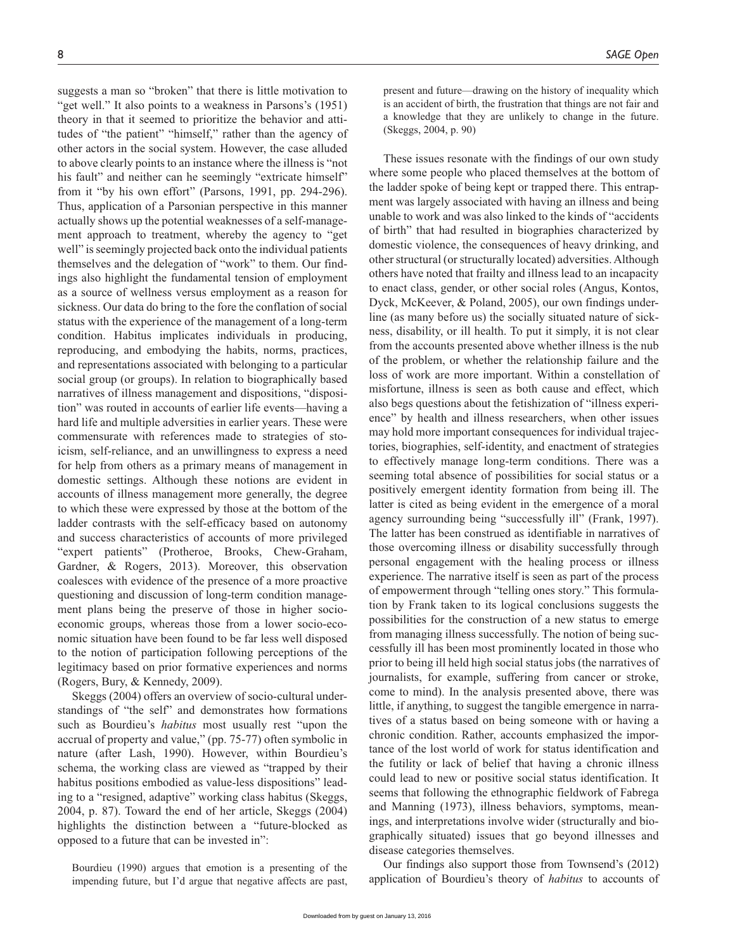suggests a man so "broken" that there is little motivation to "get well." It also points to a weakness in Parsons's (1951) theory in that it seemed to prioritize the behavior and attitudes of "the patient" "himself," rather than the agency of other actors in the social system. However, the case alluded to above clearly points to an instance where the illness is "not his fault" and neither can he seemingly "extricate himself" from it "by his own effort" (Parsons, 1991, pp. 294-296). Thus, application of a Parsonian perspective in this manner actually shows up the potential weaknesses of a self-management approach to treatment, whereby the agency to "get well" is seemingly projected back onto the individual patients themselves and the delegation of "work" to them. Our findings also highlight the fundamental tension of employment as a source of wellness versus employment as a reason for sickness. Our data do bring to the fore the conflation of social status with the experience of the management of a long-term condition. Habitus implicates individuals in producing, reproducing, and embodying the habits, norms, practices, and representations associated with belonging to a particular social group (or groups). In relation to biographically based narratives of illness management and dispositions, "disposition" was routed in accounts of earlier life events—having a hard life and multiple adversities in earlier years. These were commensurate with references made to strategies of stoicism, self-reliance, and an unwillingness to express a need for help from others as a primary means of management in domestic settings. Although these notions are evident in accounts of illness management more generally, the degree to which these were expressed by those at the bottom of the ladder contrasts with the self-efficacy based on autonomy and success characteristics of accounts of more privileged "expert patients" (Protheroe, Brooks, Chew-Graham, Gardner, & Rogers, 2013). Moreover, this observation coalesces with evidence of the presence of a more proactive questioning and discussion of long-term condition management plans being the preserve of those in higher socioeconomic groups, whereas those from a lower socio-economic situation have been found to be far less well disposed to the notion of participation following perceptions of the legitimacy based on prior formative experiences and norms (Rogers, Bury, & Kennedy, 2009).

Skeggs (2004) offers an overview of socio-cultural understandings of "the self" and demonstrates how formations such as Bourdieu's *habitus* most usually rest "upon the accrual of property and value," (pp. 75-77) often symbolic in nature (after Lash, 1990). However, within Bourdieu's schema, the working class are viewed as "trapped by their habitus positions embodied as value-less dispositions" leading to a "resigned, adaptive" working class habitus (Skeggs, 2004, p. 87). Toward the end of her article, Skeggs (2004) highlights the distinction between a "future-blocked as opposed to a future that can be invested in":

Bourdieu (1990) argues that emotion is a presenting of the impending future, but I'd argue that negative affects are past, present and future—drawing on the history of inequality which is an accident of birth, the frustration that things are not fair and a knowledge that they are unlikely to change in the future. (Skeggs, 2004, p. 90)

These issues resonate with the findings of our own study where some people who placed themselves at the bottom of the ladder spoke of being kept or trapped there. This entrapment was largely associated with having an illness and being unable to work and was also linked to the kinds of "accidents of birth" that had resulted in biographies characterized by domestic violence, the consequences of heavy drinking, and other structural (or structurally located) adversities. Although others have noted that frailty and illness lead to an incapacity to enact class, gender, or other social roles (Angus, Kontos, Dyck, McKeever, & Poland, 2005), our own findings underline (as many before us) the socially situated nature of sickness, disability, or ill health. To put it simply, it is not clear from the accounts presented above whether illness is the nub of the problem, or whether the relationship failure and the loss of work are more important. Within a constellation of misfortune, illness is seen as both cause and effect, which also begs questions about the fetishization of "illness experience" by health and illness researchers, when other issues may hold more important consequences for individual trajectories, biographies, self-identity, and enactment of strategies to effectively manage long-term conditions. There was a seeming total absence of possibilities for social status or a positively emergent identity formation from being ill. The latter is cited as being evident in the emergence of a moral agency surrounding being "successfully ill" (Frank, 1997). The latter has been construed as identifiable in narratives of those overcoming illness or disability successfully through personal engagement with the healing process or illness experience. The narrative itself is seen as part of the process of empowerment through "telling ones story." This formulation by Frank taken to its logical conclusions suggests the possibilities for the construction of a new status to emerge from managing illness successfully. The notion of being successfully ill has been most prominently located in those who prior to being ill held high social status jobs (the narratives of journalists, for example, suffering from cancer or stroke, come to mind). In the analysis presented above, there was little, if anything, to suggest the tangible emergence in narratives of a status based on being someone with or having a chronic condition. Rather, accounts emphasized the importance of the lost world of work for status identification and the futility or lack of belief that having a chronic illness could lead to new or positive social status identification. It seems that following the ethnographic fieldwork of Fabrega and Manning (1973), illness behaviors, symptoms, meanings, and interpretations involve wider (structurally and biographically situated) issues that go beyond illnesses and disease categories themselves.

Our findings also support those from Townsend's (2012) application of Bourdieu's theory of *habitus* to accounts of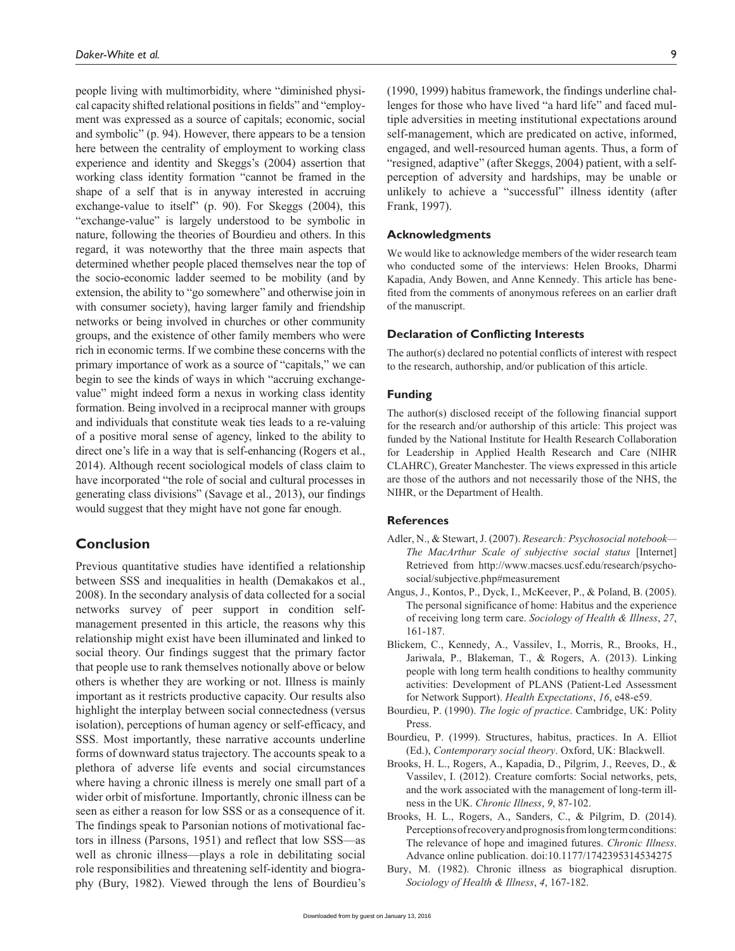people living with multimorbidity, where "diminished physical capacity shifted relational positions in fields" and "employment was expressed as a source of capitals; economic, social and symbolic" (p. 94). However, there appears to be a tension here between the centrality of employment to working class experience and identity and Skeggs's (2004) assertion that working class identity formation "cannot be framed in the shape of a self that is in anyway interested in accruing exchange-value to itself" (p. 90). For Skeggs (2004), this "exchange-value" is largely understood to be symbolic in nature, following the theories of Bourdieu and others. In this regard, it was noteworthy that the three main aspects that determined whether people placed themselves near the top of the socio-economic ladder seemed to be mobility (and by extension, the ability to "go somewhere" and otherwise join in with consumer society), having larger family and friendship networks or being involved in churches or other community groups, and the existence of other family members who were rich in economic terms. If we combine these concerns with the primary importance of work as a source of "capitals," we can begin to see the kinds of ways in which "accruing exchangevalue" might indeed form a nexus in working class identity formation. Being involved in a reciprocal manner with groups and individuals that constitute weak ties leads to a re-valuing of a positive moral sense of agency, linked to the ability to direct one's life in a way that is self-enhancing (Rogers et al., 2014). Although recent sociological models of class claim to have incorporated "the role of social and cultural processes in generating class divisions" (Savage et al., 2013), our findings would suggest that they might have not gone far enough.

# **Conclusion**

Previous quantitative studies have identified a relationship between SSS and inequalities in health (Demakakos et al., 2008). In the secondary analysis of data collected for a social networks survey of peer support in condition selfmanagement presented in this article, the reasons why this relationship might exist have been illuminated and linked to social theory. Our findings suggest that the primary factor that people use to rank themselves notionally above or below others is whether they are working or not. Illness is mainly important as it restricts productive capacity. Our results also highlight the interplay between social connectedness (versus isolation), perceptions of human agency or self-efficacy, and SSS. Most importantly, these narrative accounts underline forms of downward status trajectory. The accounts speak to a plethora of adverse life events and social circumstances where having a chronic illness is merely one small part of a wider orbit of misfortune. Importantly, chronic illness can be seen as either a reason for low SSS or as a consequence of it. The findings speak to Parsonian notions of motivational factors in illness (Parsons, 1951) and reflect that low SSS—as well as chronic illness—plays a role in debilitating social role responsibilities and threatening self-identity and biography (Bury, 1982). Viewed through the lens of Bourdieu's

(1990, 1999) habitus framework, the findings underline challenges for those who have lived "a hard life" and faced multiple adversities in meeting institutional expectations around self-management, which are predicated on active, informed, engaged, and well-resourced human agents. Thus, a form of "resigned, adaptive" (after Skeggs, 2004) patient, with a selfperception of adversity and hardships, may be unable or unlikely to achieve a "successful" illness identity (after Frank, 1997).

#### **Acknowledgments**

We would like to acknowledge members of the wider research team who conducted some of the interviews: Helen Brooks, Dharmi Kapadia, Andy Bowen, and Anne Kennedy. This article has benefited from the comments of anonymous referees on an earlier draft of the manuscript.

#### **Declaration of Conflicting Interests**

The author(s) declared no potential conflicts of interest with respect to the research, authorship, and/or publication of this article.

#### **Funding**

The author(s) disclosed receipt of the following financial support for the research and/or authorship of this article: This project was funded by the National Institute for Health Research Collaboration for Leadership in Applied Health Research and Care (NIHR CLAHRC), Greater Manchester. The views expressed in this article are those of the authors and not necessarily those of the NHS, the NIHR, or the Department of Health.

### **References**

- Adler, N., & Stewart, J. (2007). *Research: Psychosocial notebook— The MacArthur Scale of subjective social status* [Internet] Retrieved from [http://www.macses.ucsf.edu/research/psycho](http://www.macses.ucsf.edu/research/psychosocial/subjective.php#measurement)[social/subjective.php#measurement](http://www.macses.ucsf.edu/research/psychosocial/subjective.php#measurement)
- Angus, J., Kontos, P., Dyck, I., McKeever, P., & Poland, B. (2005). The personal significance of home: Habitus and the experience of receiving long term care. *Sociology of Health & Illness*, *27*, 161-187.
- Blickem, C., Kennedy, A., Vassilev, I., Morris, R., Brooks, H., Jariwala, P., Blakeman, T., & Rogers, A. (2013). Linking people with long term health conditions to healthy community activities: Development of PLANS (Patient-Led Assessment for Network Support). *Health Expectations*, *16*, e48-e59.
- Bourdieu, P. (1990). *The logic of practice*. Cambridge, UK: Polity Press.
- Bourdieu, P. (1999). Structures, habitus, practices. In A. Elliot (Ed.), *Contemporary social theory*. Oxford, UK: Blackwell.
- Brooks, H. L., Rogers, A., Kapadia, D., Pilgrim, J., Reeves, D., & Vassilev, I. (2012). Creature comforts: Social networks, pets, and the work associated with the management of long-term illness in the UK. *Chronic Illness*, *9*, 87-102.
- Brooks, H. L., Rogers, A., Sanders, C., & Pilgrim, D. (2014). Perceptions of recovery and prognosis from long term conditions: The relevance of hope and imagined futures. *Chronic Illness*. Advance online publication. doi:10.1177/1742395314534275
- Bury, M. (1982). Chronic illness as biographical disruption. *Sociology of Health & Illness*, *4*, 167-182.